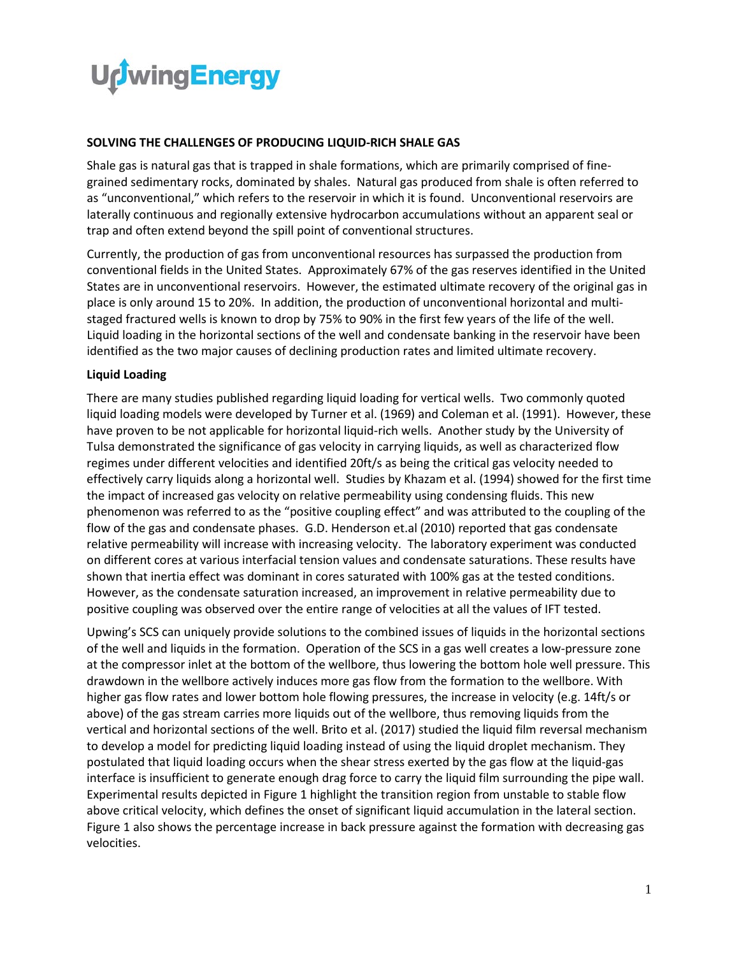

## **SOLVING THE CHALLENGES OF PRODUCING LIQUID-RICH SHALE GAS**

Shale gas is natural gas that is trapped in shale formations, which are primarily comprised of finegrained sedimentary rocks, dominated by shales. Natural gas produced from shale is often referred to as "unconventional," which refers to the reservoir in which it is found. Unconventional reservoirs are laterally continuous and regionally extensive hydrocarbon accumulations without an apparent seal or trap and often extend beyond the spill point of conventional structures.

Currently, the production of gas from unconventional resources has surpassed the production from conventional fields in the United States. Approximately 67% of the gas reserves identified in the United States are in unconventional reservoirs. However, the estimated ultimate recovery of the original gas in place is only around 15 to 20%. In addition, the production of unconventional horizontal and multistaged fractured wells is known to drop by 75% to 90% in the first few years of the life of the well. Liquid loading in the horizontal sections of the well and condensate banking in the reservoir have been identified as the two major causes of declining production rates and limited ultimate recovery.

## **Liquid Loading**

There are many studies published regarding liquid loading for vertical wells. Two commonly quoted liquid loading models were developed by Turner et al. (1969) and Coleman et al. (1991). However, these have proven to be not applicable for horizontal liquid-rich wells. Another study by the University of Tulsa demonstrated the significance of gas velocity in carrying liquids, as well as characterized flow regimes under different velocities and identified 20ft/s as being the critical gas velocity needed to effectively carry liquids along a horizontal well. Studies by Khazam et al. (1994) showed for the first time the impact of increased gas velocity on relative permeability using condensing fluids. This new phenomenon was referred to as the "positive coupling effect" and was attributed to the coupling of the flow of the gas and condensate phases. G.D. Henderson et.al (2010) reported that gas condensate relative permeability will increase with increasing velocity. The laboratory experiment was conducted on different cores at various interfacial tension values and condensate saturations. These results have shown that inertia effect was dominant in cores saturated with 100% gas at the tested conditions. However, as the condensate saturation increased, an improvement in relative permeability due to positive coupling was observed over the entire range of velocities at all the values of IFT tested.

Upwing's SCS can uniquely provide solutions to the combined issues of liquids in the horizontal sections of the well and liquids in the formation. Operation of the SCS in a gas well creates a low-pressure zone at the compressor inlet at the bottom of the wellbore, thus lowering the bottom hole well pressure. This drawdown in the wellbore actively induces more gas flow from the formation to the wellbore. With higher gas flow rates and lower bottom hole flowing pressures, the increase in velocity (e.g. 14ft/s or above) of the gas stream carries more liquids out of the wellbore, thus removing liquids from the vertical and horizontal sections of the well. Brito et al. (2017) studied the liquid film reversal mechanism to develop a model for predicting liquid loading instead of using the liquid droplet mechanism. They postulated that liquid loading occurs when the shear stress exerted by the gas flow at the liquid-gas interface is insufficient to generate enough drag force to carry the liquid film surrounding the pipe wall. Experimental results depicted in Figure 1 highlight the transition region from unstable to stable flow above critical velocity, which defines the onset of significant liquid accumulation in the lateral section. Figure 1 also shows the percentage increase in back pressure against the formation with decreasing gas velocities.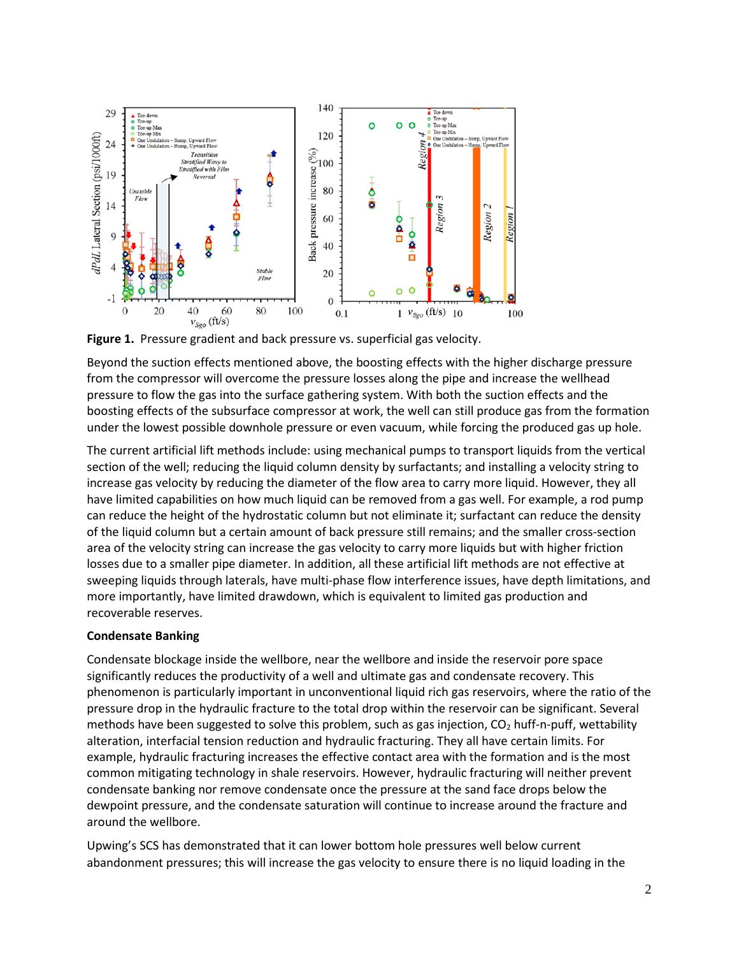

**Figure 1.** Pressure gradient and back pressure vs. superficial gas velocity.

Beyond the suction effects mentioned above, the boosting effects with the higher discharge pressure from the compressor will overcome the pressure losses along the pipe and increase the wellhead pressure to flow the gas into the surface gathering system. With both the suction effects and the boosting effects of the subsurface compressor at work, the well can still produce gas from the formation under the lowest possible downhole pressure or even vacuum, while forcing the produced gas up hole.

The current artificial lift methods include: using mechanical pumps to transport liquids from the vertical section of the well; reducing the liquid column density by surfactants; and installing a velocity string to increase gas velocity by reducing the diameter of the flow area to carry more liquid. However, they all have limited capabilities on how much liquid can be removed from a gas well. For example, a rod pump can reduce the height of the hydrostatic column but not eliminate it; surfactant can reduce the density of the liquid column but a certain amount of back pressure still remains; and the smaller cross-section area of the velocity string can increase the gas velocity to carry more liquids but with higher friction losses due to a smaller pipe diameter. In addition, all these artificial lift methods are not effective at sweeping liquids through laterals, have multi-phase flow interference issues, have depth limitations, and more importantly, have limited drawdown, which is equivalent to limited gas production and recoverable reserves.

## **Condensate Banking**

Condensate blockage inside the wellbore, near the wellbore and inside the reservoir pore space significantly reduces the productivity of a well and ultimate gas and condensate recovery. This phenomenon is particularly important in unconventional liquid rich gas reservoirs, where the ratio of the pressure drop in the hydraulic fracture to the total drop within the reservoir can be significant. Several methods have been suggested to solve this problem, such as gas injection,  $CO<sub>2</sub>$  huff-n-puff, wettability alteration, interfacial tension reduction and hydraulic fracturing. They all have certain limits. For example, hydraulic fracturing increases the effective contact area with the formation and is the most common mitigating technology in shale reservoirs. However, hydraulic fracturing will neither prevent condensate banking nor remove condensate once the pressure at the sand face drops below the dewpoint pressure, and the condensate saturation will continue to increase around the fracture and around the wellbore.

Upwing's SCS has demonstrated that it can lower bottom hole pressures well below current abandonment pressures; this will increase the gas velocity to ensure there is no liquid loading in the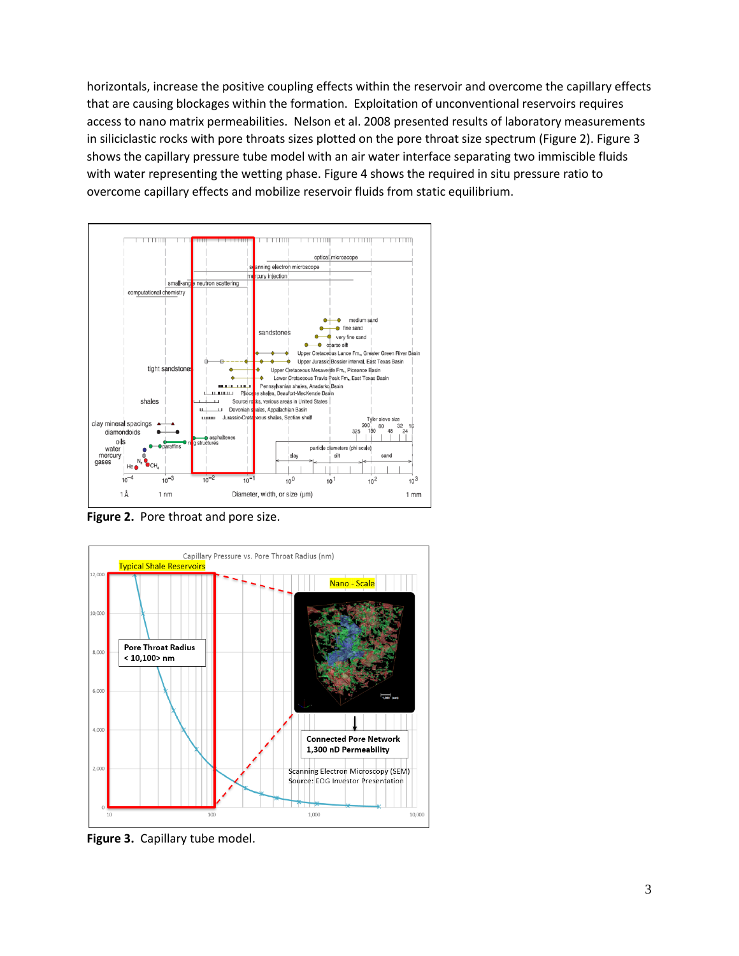horizontals, increase the positive coupling effects within the reservoir and overcome the capillary effects that are causing blockages within the formation. Exploitation of unconventional reservoirs requires access to nano matrix permeabilities. Nelson et al. 2008 presented results of laboratory measurements in siliciclastic rocks with pore throats sizes plotted on the pore throat size spectrum (Figure 2). Figure 3 shows the capillary pressure tube model with an air water interface separating two immiscible fluids with water representing the wetting phase. Figure 4 shows the required in situ pressure ratio to overcome capillary effects and mobilize reservoir fluids from static equilibrium.



**Figure 2.** Pore throat and pore size.



**Figure 3.** Capillary tube model.